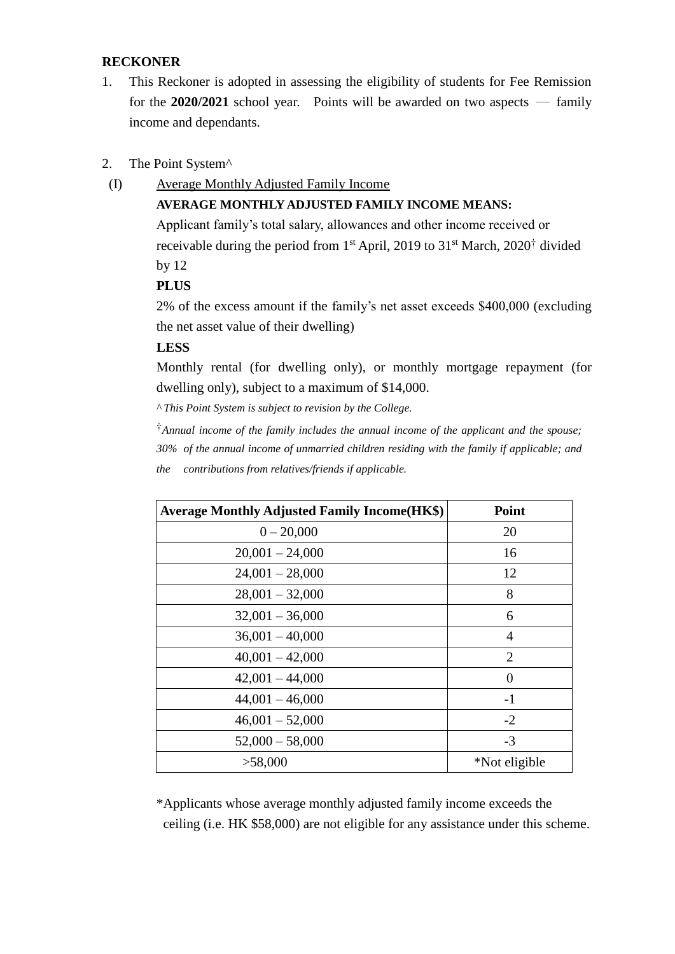#### **RECKONER**

- 1. This Reckoner is adopted in assessing the eligibility of students for Fee Remission for the  $2020/2021$  school year. Points will be awarded on two aspects — family income and dependants.
- 2. The Point System^
- (I) Average Monthly Adjusted Family Income

## **AVERAGE MONTHLY ADJUSTED FAMILY INCOME MEANS:**

Applicant family's total salary, allowances and other income received or receivable during the period from  $1<sup>st</sup>$  April, 2019 to 31<sup>st</sup> March, 2020<sup>†</sup> divided by 12

## **PLUS**

2% of the excess amount if the family's net asset exceeds \$400,000 (excluding the net asset value of their dwelling)

#### **LESS**

Monthly rental (for dwelling only), or monthly mortgage repayment (for dwelling only), subject to a maximum of \$14,000.

*^ This Point System is subject to revision by the College.*

 †*Annual income of the family includes the annual income of the applicant and the spouse; 30% of the annual income of unmarried children residing with the family if applicable; and the contributions from relatives/friends if applicable.*

| <b>Average Monthly Adjusted Family Income(HK\$)</b> | <b>Point</b>   |
|-----------------------------------------------------|----------------|
| $0 - 20,000$                                        | 20             |
| $20,001 - 24,000$                                   | 16             |
| $24,001 - 28,000$                                   | 12             |
| $28,001 - 32,000$                                   | 8              |
| $32,001 - 36,000$                                   | 6              |
| $36,001 - 40,000$                                   | $\overline{4}$ |
| $40,001 - 42,000$                                   | $\overline{2}$ |
| $42,001 - 44,000$                                   | $\Omega$       |
| $44,001 - 46,000$                                   | $-1$           |
| $46,001 - 52,000$                                   | $-2$           |
| $52,000 - 58,000$                                   | $-3$           |
| >58,000                                             | *Not eligible  |

\*Applicants whose average monthly adjusted family income exceeds the ceiling (i.e. HK \$58,000) are not eligible for any assistance under this scheme.